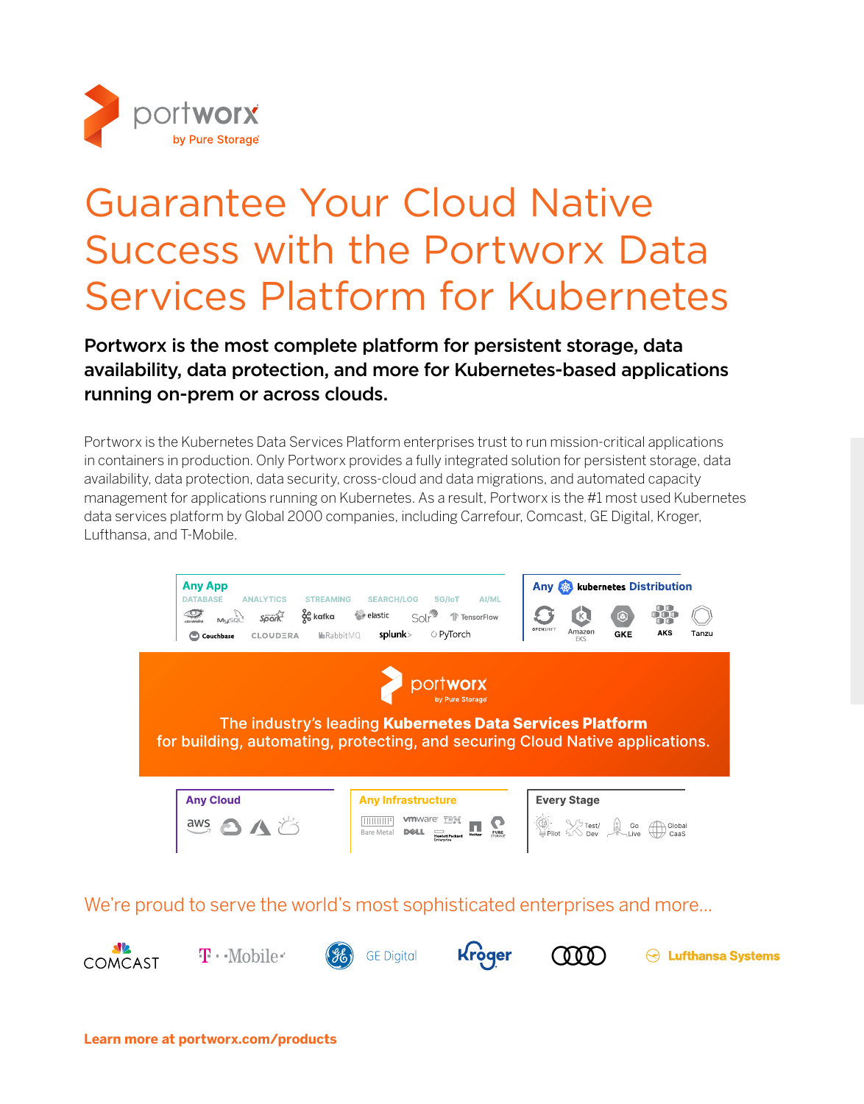

# Guarantee Your Cloud Native Success with the Portworx Data Services Platform for Kubernetes

Portworx is the most complete platform for persistent storage, data availability, data protection, and more for Kubernetes-based applications running on-prem or across clouds.

Portworx is the Kubernetes Data Services Platform enterprises trust to run mission-critical applications in containers in production. Only Portworx provides a fully integrated solution for persistent storage, data availability, data protection, data security, cross-cloud and data migrations, and automated capacity management for applications running on Kubernetes. As a result, Portworx is the #1 most used Kubernetes data services platform by Global 2000 companies, including Carrefour, Comcast, GE Digital, Kroger, Lufthansa, and T-Mobile.



We're proud to serve the world's most sophisticated enterprises and more...